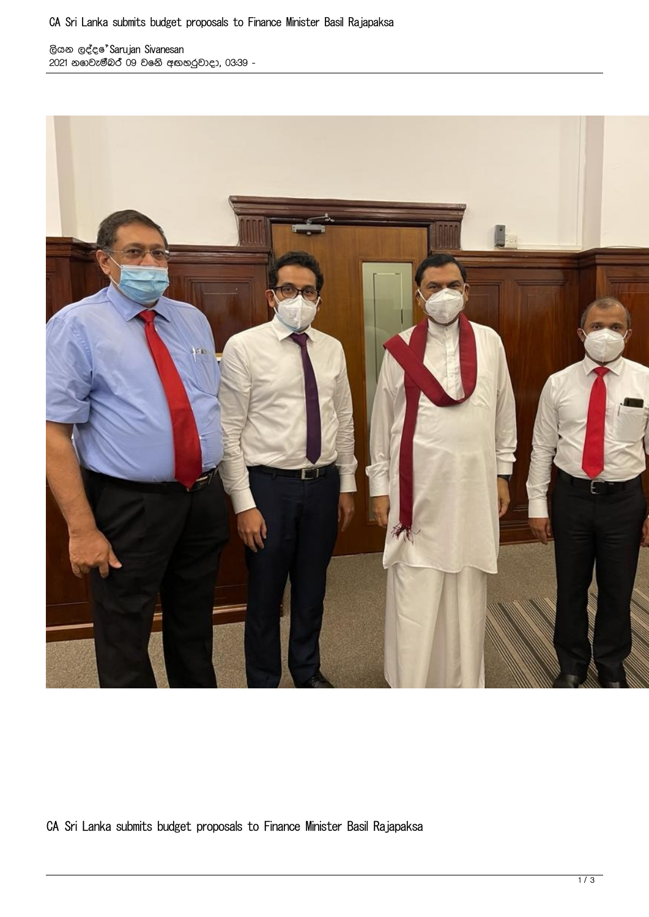ලියන ලද්දේ Sarujan Sivanesan 2021 නොවැම්බර් 09 වෙනි අඟහරුවාදා, 03:39 -



CA Sri Lanka submits budget proposals to Finance Minister Basil Rajapaksa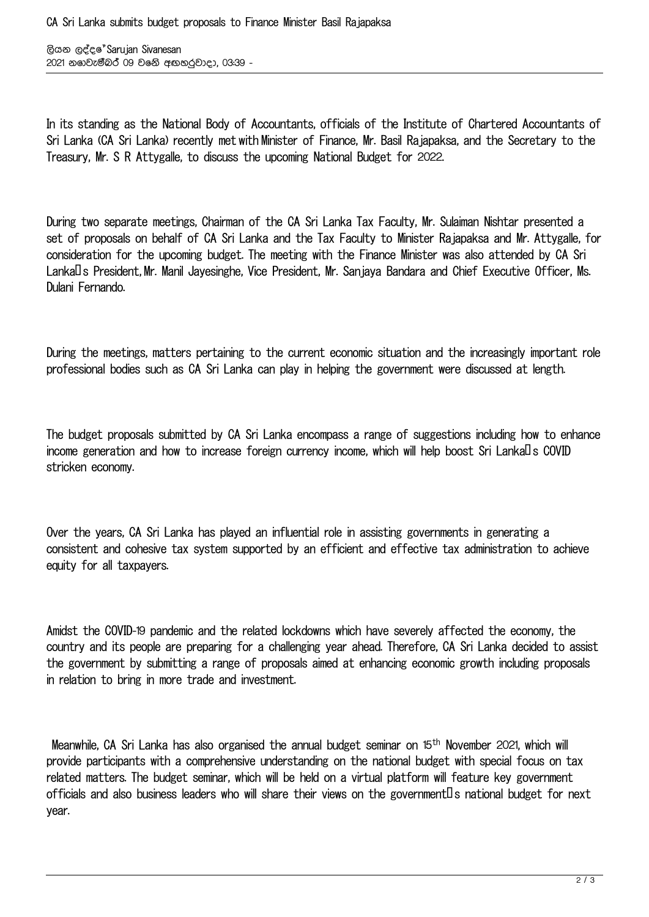ලියන ලද්දේ Sarujan Sivanesan 2021 නොවැම්බර් 09 වෙනි අඟහරුවාදා, 03:39 -

In its standing as the National Body of Accountants, officials of the Institute of Chartered Accountants of Sri Lanka (CA Sri Lanka) recently met with Minister of Finance, Mr. Basil Rajapaksa, and the Secretary to the Treasury, Mr. S R Attygalle, to discuss the upcoming National Budget for 2022.

During two separate meetings, Chairman of the CA Sri Lanka Tax Faculty, Mr. Sulaiman Nishtar presented a set of proposals on behalf of CA Sri Lanka and the Tax Faculty to Minister Rajapaksa and Mr. Attygalle, for consideration for the upcoming budget. The meeting with the Finance Minister was also attended by CA Sri Lanka<sup>'</sup>D S President, Mr. Manil Javesinghe, Vice President, Mr. Sanjaya Bandara and Chief Executive Officer, Ms. Dulani Fernando.

During the meetings, matters pertaining to the current economic situation and the increasingly important role professional bodies such as CA Sri Lanka can play in helping the government were discussed at length.

The budget proposals submitted by CA Sri Lanka encompass a range of suggestions including how to enhance income generation and how to increase foreign currency income, which will help boost Sri Lanka $\Box$ s COVID stricken economy.

Over the years, CA Sri Lanka has played an influential role in assisting governments in generating a consistent and cohesive tax system supported by an efficient and effective tax administration to achieve equity for all taxpayers.

Amidst the COVID-19 pandemic and the related lockdowns which have severely affected the economy, the country and its people are preparing for a challenging year ahead. Therefore, CA Sri Lanka decided to assist the government by submitting a range of proposals aimed at enhancing economic growth including proposals in relation to bring in more trade and investment.

Meanwhile, CA Sri Lanka has also organised the annual budget seminar on 15th November 2021, which will provide participants with a comprehensive understanding on the national budget with special focus on tax related matters. The budget seminar, which will be held on a virtual platform will feature key government officials and also business leaders who will share their views on the government  $\Box$  a national budget for next year.